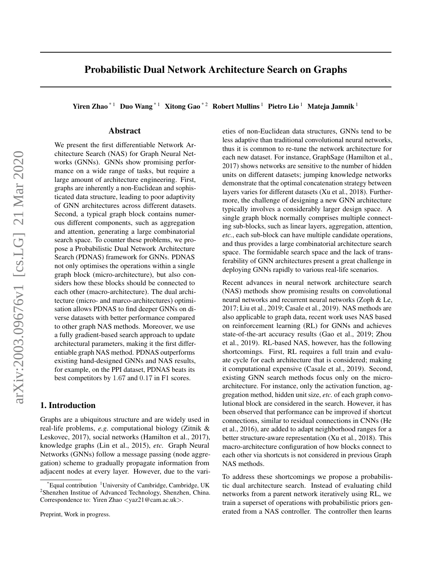# Probabilistic Dual Network Architecture Search on Graphs

Yiren Zhao<sup>\*1</sup> Duo Wang<sup>\*1</sup> Xitong Gao<sup>\*2</sup> Robert Mullins<sup>1</sup> Pietro Lio<sup>1</sup> Mateja Jamnik<sup>1</sup>

# Abstract

We present the first differentiable Network Architecture Search (NAS) for Graph Neural Networks (GNNs). GNNs show promising performance on a wide range of tasks, but require a large amount of architecture engineering. First, graphs are inherently a non-Euclidean and sophisticated data structure, leading to poor adaptivity of GNN architectures across different datasets. Second, a typical graph block contains numerous different components, such as aggregation and attention, generating a large combinatorial search space. To counter these problems, we propose a Probabilistic Dual Network Architecture Search (PDNAS) framework for GNNs. PDNAS not only optimises the operations within a single graph block (micro-architecture), but also considers how these blocks should be connected to each other (macro-architecture). The dual architecture (micro- and marco-architectures) optimisation allows PDNAS to find deeper GNNs on diverse datasets with better performance compared to other graph NAS methods. Moreover, we use a fully gradient-based search approach to update architectural parameters, making it the first differentiable graph NAS method. PDNAS outperforms existing hand-designed GNNs and NAS results, for example, on the PPI dataset, PDNAS beats its best competitors by 1.67 and 0.17 in F1 scores.

## 1. Introduction

Graphs are a ubiquitous structure and are widely used in real-life problems, *e.g.* computational biology (Zitnik & Leskovec, 2017), social networks (Hamilton et al., 2017), knowledge graphs (Lin et al., 2015), *etc.* Graph Neural Networks (GNNs) follow a message passing (node aggregation) scheme to gradually propagate information from adjacent nodes at every layer. However, due to the varieties of non-Euclidean data structures, GNNs tend to be less adaptive than traditional convolutional neural networks, thus it is common to re-tune the network architecture for each new dataset. For instance, GraphSage (Hamilton et al., 2017) shows networks are sensitive to the number of hidden units on different datasets; jumping knowledge networks demonstrate that the optimal concatenation strategy between layers varies for different datasets (Xu et al., 2018). Furthermore, the challenge of designing a new GNN architecture typically involves a considerably larger design space. A single graph block normally comprises multiple connecting sub-blocks, such as linear layers, aggregation, attention, *etc.*, each sub-block can have multiple candidate operations, and thus provides a large combinatorial architecture search space. The formidable search space and the lack of transferability of GNN architectures present a great challenge in deploying GNNs rapidly to various real-life scenarios.

Recent advances in neural network architecture search (NAS) methods show promising results on convolutional neural networks and recurrent neural networks (Zoph & Le, 2017; Liu et al., 2019; Casale et al., 2019). NAS methods are also applicable to graph data, recent work uses NAS based on reinforcement learning (RL) for GNNs and achieves state-of-the-art accuracy results (Gao et al., 2019; Zhou et al., 2019). RL-based NAS, however, has the following shortcomings. First, RL requires a full train and evaluate cycle for each architecture that is considered; making it computational expensive (Casale et al., 2019). Second, existing GNN search methods focus only on the microarchitecture. For instance, only the activation function, aggregation method, hidden unit size, *etc.* of each graph convolutional block are considered in the search. However, it has been observed that performance can be improved if shortcut connections, similar to residual connections in CNNs (He et al., 2016), are added to adapt neighborhood ranges for a better structure-aware representation (Xu et al., 2018). This macro-architecture configuration of how blocks connect to each other via shortcuts is not considered in previous Graph NAS methods.

To address these shortcomings we propose a probabilistic dual architecture search. Instead of evaluating child networks from a parent network iteratively using RL, we train a superset of operations with probabilistic priors generated from a NAS controller. The controller then learns

Equal contribution  $1$ University of Cambridge, Cambridge, UK 2 Shenzhen Institue of Advanced Technology, Shenzhen, China. Correspondence to: Yiren Zhao <yaz21@cam.ac.uk>.

Preprint, Work in progress.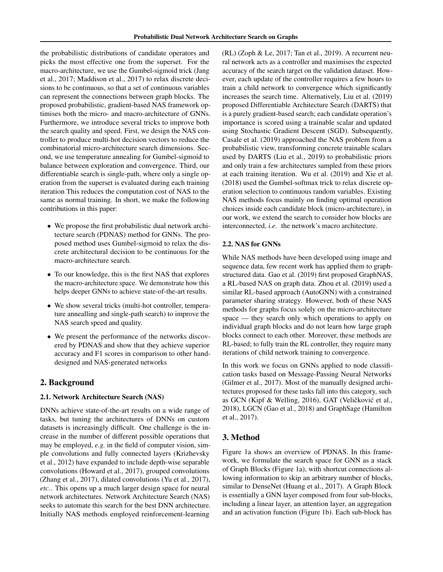the probabilistic distributions of candidate operators and picks the most effective one from the superset. For the macro-architecture, we use the Gumbel-sigmoid trick (Jang et al., 2017; Maddison et al., 2017) to relax discrete decisions to be continuous, so that a set of continuous variables can represent the connections between graph blocks. The proposed probabilistic, gradient-based NAS framework optimises both the micro- and macro-architecture of GNNs. Furthermore, we introduce several tricks to improve both the search quality and speed. First, we design the NAS controller to produce multi-hot decision vectors to reduce the combinatorial micro-architecture search dimensions. Second, we use temperature annealing for Gumbel-sigmoid to balance between exploration and convergence. Third, our differentiable search is single-path, where only a single operation from the superset is evaluated during each training iteration This reduces the computation cost of NAS to the same as normal training. In short, we make the following contributions in this paper:

- We propose the first probabilistic dual network architecture search (PDNAS) method for GNNs. The proposed method uses Gumbel-sigmoid to relax the discrete architectural decision to be continuous for the macro-architecture search.
- To our knowledge, this is the first NAS that explores the macro-architecture space. We demonstrate how this helps deeper GNNs to achieve state-of-the-art results.
- We show several tricks (multi-hot controller, temperature annealling and single-path search) to improve the NAS search speed and quality.
- We present the performance of the networks discovered by PDNAS and show that they achieve superior accuracy and F1 scores in comparison to other handdesigned and NAS-generated networks

# 2. Background

#### 2.1. Network Architecture Search (NAS)

DNNs achieve state-of-the-art results on a wide range of tasks, but tuning the architectures of DNNs on custom datasets is increasingly difficult. One challenge is the increase in the number of different possible operations that may be employed, *e.g.* in the field of computer vision, simple convolutions and fully connected layers (Krizhevsky et al., 2012) have expanded to include depth-wise separable convolutions (Howard et al., 2017), grouped convolutions (Zhang et al., 2017), dilated convolutions (Yu et al., 2017), *etc.*. This opens up a much larger design space for neural network architectures. Network Architecture Search (NAS) seeks to automate this search for the best DNN architecture. Initially NAS methods employed reinforcement-learning (RL) (Zoph & Le, 2017; Tan et al., 2019). A recurrent neural network acts as a controller and maximises the expected accuracy of the search target on the validation dataset. However, each update of the controller requires a few hours to train a child network to convergence which significantly increases the search time. Alternatively, Liu et al. (2019) proposed Differentiable Architecture Search (DARTS) that is a purely gradient-based search; each candidate operation's importance is scored using a trainable scalar and updated using Stochastic Gradient Descent (SGD). Subsequently, Casale et al. (2019) approached the NAS problem from a probabilistic view, transforming concrete trainable scalars used by DARTS (Liu et al., 2019) to probabilistic priors and only train a few architectures sampled from these priors at each training iteration. Wu et al. (2019) and Xie et al. (2018) used the Gumbel-softmax trick to relax discrete operation selection to continuous random variables. Existing NAS methods focus mainly on finding optimal operation choices inside each candidate block (micro-architecture), in our work, we extend the search to consider how blocks are interconnected, *i.e.* the network's macro architecture.

### 2.2. NAS for GNNs

While NAS methods have been developed using image and sequence data, few recent work has applied them to graphstructured data. Gao et al. (2019) first proposed GraphNAS, a RL-based NAS on graph data. Zhou et al. (2019) used a similar RL-based approach (AutoGNN) with a constrained parameter sharing strategy. However, both of these NAS methods for graphs focus solely on the micro-architecture space — they search only which operations to apply on individual graph blocks and do not learn how large graph blocks connect to each other. Moreover, these methods are RL-based; to fully train the RL controller, they require many iterations of child network training to convergence.

In this work we focus on GNNs applied to node classification tasks based on Message-Passing Neural Networks (Gilmer et al., 2017). Most of the manually designed architectures proposed for these tasks fall into this category, such as GCN (Kipf & Welling, 2016), GAT (Veličković et al., 2018), LGCN (Gao et al., 2018) and GraphSage (Hamilton et al., 2017).

# 3. Method

Figure 1a shows an overview of PDNAS. In this framework, we formulate the search space for GNN as a stack of Graph Blocks (Figure 1a), with shortcut connections allowing information to skip an arbitrary number of blocks, similar to DenseNet (Huang et al., 2017). A Graph Block is essentially a GNN layer composed from four sub-blocks, including a linear layer, an attention layer, an aggregation and an activation function (Figure 1b). Each sub-block has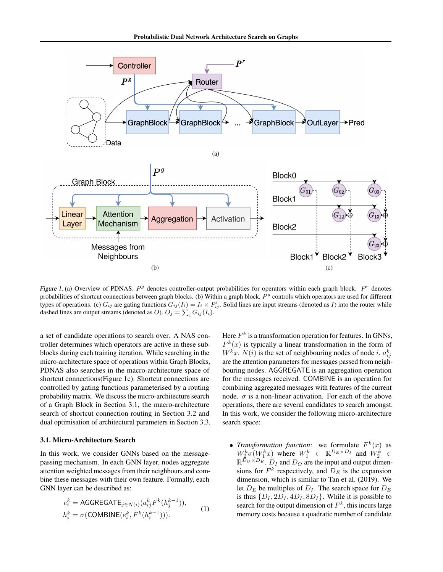

Figure 1. (a) Overview of PDNAS.  $P^g$  denotes controller-output probabilities for operators within each graph block.  $P^r$  denotes probabilities of shortcut connections between graph blocks. (b) Within a graph block,  $P<sup>g</sup>$  controls which operators are used for different types of operations. (c)  $G_{ij}$  are gating functions  $G_{ij}(I_i) = I_i \times P_{ij}^r$ . Solid lines are input streams (denoted as I) into the router while dashed lines are output streams (denoted as O).  $O_j = \sum_i G_{ij}(I_i)$ .

a set of candidate operations to search over. A NAS controller determines which operators are active in these subblocks during each training iteration. While searching in the micro-architecture space of operations within Graph Blocks, PDNAS also searches in the macro-architecture space of shortcut connections(Figure 1c). Shortcut connections are controlled by gating functions parameterised by a routing probability matrix. We discuss the micro-architecture search of a Graph Block in Section 3.1, the macro-architecture search of shortcut connection routing in Section 3.2 and dual optimisation of architectural parameters in Section 3.3.

#### 3.1. Micro-Architecture Search

In this work, we consider GNNs based on the messagepassing mechanism. In each GNN layer, nodes aggregate attention weighted messages from their neighbours and combine these messages with their own feature. Formally, each GNN layer can be described as:

$$
e_i^k = \text{AGGREGATE}_{j \in N(i)}(a_{ij}^k F^k(h_j^{k-1})),
$$
  
\n
$$
h_i^k = \sigma(\text{COMBINE}(e_i^k, F^k(h_i^{k-1}))).
$$
\n(1)

Here  $F^k$  is a transformation operation for features. In GNNs,  $F^k(x)$  is typically a linear transformation in the form of  $W^k x$ .  $N(i)$  is the set of neighbouring nodes of node *i*.  $a_{ij}^k$ are the attention parameters for messages passed from neighbouring nodes. AGGREGATE is an aggregation operation for the messages received. COMBINE is an operation for combining aggregated messages with features of the current node.  $\sigma$  is a non-linear activation. For each of the above operations, there are several candidates to search amongst. In this work, we consider the following micro-architecture search space:

• *Transformation function*: we formulate  $F^k(x)$  as  $W_2^k \sigma(W_1^k x)$  where  $W_1^k \in \mathbb{R}^{D_E \times D_I}$  and  $W_2^k \in \mathbb{R}^{D_O \times D_E}$ .  $D_I$  and  $D_O$  are the input and output dimensions for  $F^k$  respectively, and  $D_E$  is the expansion dimension, which is similar to Tan et al. (2019). We let  $D_E$  be multiples of  $D_I$ . The search space for  $D_E$ is thus  $\{D_I, 2D_I, 4D_I, 8D_I\}$ . While it is possible to search for the output dimension of  $F^k$ , this incurs large memory costs because a quadratic number of candidate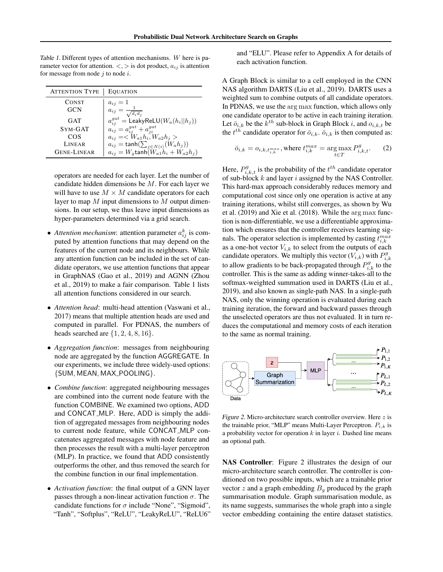Table 1. Different types of attention mechanisms. W here is parameter vector for attention.  $\langle \cdot, \cdot \rangle$  is dot product,  $a_{ij}$  is attention for message from node  $j$  to node  $i$ .

| <b>ATTENTION TYPE</b> | <b>EQUATION</b>                                     |
|-----------------------|-----------------------------------------------------|
| <b>CONST</b>          | $a_{ij}=1$                                          |
| <b>GCN</b>            | $a_{ij} = \frac{1}{\sqrt{d}}$<br>$\sqrt{d_i d_j}$   |
| <b>GAT</b>            | $a_{ii}^{gat} = \mathsf{LeakyReLU}(W_a(h_i   h_j))$ |
| SYM-GAT               | $a_{ij} = a_{ij}^{gat} + a_{ji}^{gat}$              |
| COS                   | $a_{ij} = \langle W_{a1} h_i, W_{a2} h_j \rangle$   |
| LINEAR                | $a_{ij} = \tanh(\sum_{j \in N(i)} (W_a h_j))$       |
| <b>GENE-LINEAR</b>    | $a_{ij} = W_g \text{tanh}(W_{a1}h_i + W_{a2}h_j)$   |

operators are needed for each layer. Let the number of candidate hidden dimensions be  $M$ . For each layer we will have to use  $M \times M$  candidate operators for each layer to map  $M$  input dimensions to  $M$  output dimensions. In our setup, we thus leave input dimensions as hyper-parameters determined via a grid search.

- *Attention mechanism*: attention parameter  $a_{ij}^k$  is computed by attention functions that may depend on the features of the current node and its neighbours. While any attention function can be included in the set of candidate operators, we use attention functions that appear in GraphNAS (Gao et al., 2019) and AGNN (Zhou et al., 2019) to make a fair comparison. Table 1 lists all attention functions considered in our search.
- *Attention head*: multi-head attention (Vaswani et al., 2017) means that multiple attention heads are used and computed in parallel. For PDNAS, the numbers of heads searched are  $\{1, 2, 4, 8, 16\}.$
- *Aggregation function*: messages from neighbouring node are aggregated by the function AGGREGATE. In our experiments, we include three widely-used options: {SUM, MEAN, MAX POOLING}.
- *Combine function*: aggregated neighbouring messages are combined into the current node feature with the function COMBINE. We examined two options, ADD and CONCAT MLP. Here, ADD is simply the addition of aggregated messages from neighbouring nodes to current node feature, while CONCAT MLP concatenates aggregated messages with node feature and then processes the result with a multi-layer perceptron (MLP). In practice, we found that ADD consistently outperforms the other, and thus removed the search for the combine function in our final implementation.
- *Activation function*: the final output of a GNN layer passes through a non-linear activation function  $\sigma$ . The candidate functions for  $\sigma$  include "None", "Sigmoid", "Tanh", "Softplus", "ReLU", "LeakyReLU", "ReLU6"

and "ELU". Please refer to Appendix A for details of each activation function.

A Graph Block is similar to a cell employed in the CNN NAS algorithm DARTS (Liu et al., 2019). DARTS uses a weighted sum to combine outputs of all candidate operators. In PDNAS, we use the arg max function, which allows only one candidate operator to be active in each training iteration. Let  $\bar{o}_{i,k}$  be the  $k^{th}$  sub-block in Graph Block i, and  $o_{i,k,t}$  be the  $t^{th}$  candidate operator for  $\bar{o}_{i,k}$ .  $\bar{o}_{i,k}$  is then computed as:

$$
\bar{o}_{i,k} = o_{i,k,t_{i,k}^{max}}, \text{where } t_{i,k}^{max} = \arg\max_{t \in T} P_{i,k,t}^g. \tag{2}
$$

Here,  $P_{i,k,t}^g$  is the probability of the  $t^{th}$  candidate operator of sub-block  $k$  and layer  $i$  assigned by the NAS Controller. This hard-max approach considerably reduces memory and computational cost since only one operation is active at any training iterations, whilst still converges, as shown by Wu et al. (2019) and Xie et al. (2018). While the arg max function is non-differentiable, we use a differentiable approximation which ensures that the controller receives learning signals. The operator selection is implemented by casting  $t_{i,k}^{max}$ as a one-hot vector  $V_{i,k}$  to select from the outputs of each candidate operators. We multiply this vector  $(V_{i,k})$  with  $P_{i,k}^g$ to allow gradients to be back-propagated through  $P_{i,k}^g$  to the controller. This is the same as adding winner-takes-all to the softmax-weighted summation used in DARTS (Liu et al., 2019), and also known as single-path NAS. In a single-path NAS, only the winning operation is evaluated during each training iteration, the forward and backward passes through the unselected operators are thus not evaluated. It in turn reduces the computational and memory costs of each iteration to the same as normal training.



Figure 2. Micro-architecture search controller overview. Here  $z$  is the trainable prior, "MLP" means Multi-Layer Perceptron.  $P_{i,k}$  is a probability vector for operation  $k$  in layer  $i$ . Dashed line means an optional path.

NAS Controller: Figure 2 illustrates the design of our micro-architecture search controller. The controller is conditioned on two possible inputs, which are a trainable prior vector z and a graph embedding  $B<sub>g</sub>$  produced by the graph summarisation module. Graph summarisation module, as its name suggests, summarises the whole graph into a single vector embedding containing the entire dataset statistics.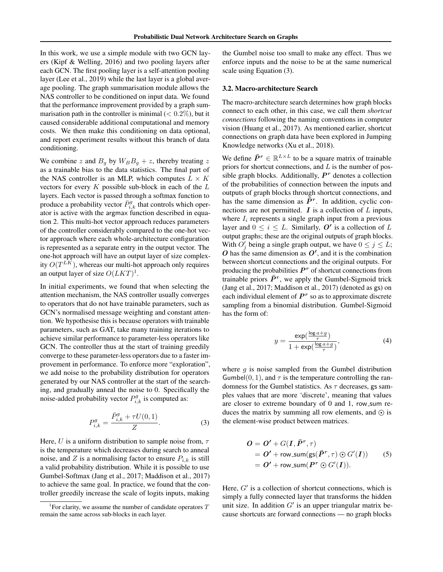In this work, we use a simple module with two GCN layers (Kipf & Welling, 2016) and two pooling layers after each GCN. The first pooling layer is a self-attention pooling layer (Lee et al., 2019) while the last layer is a global average pooling. The graph summarisation module allows the NAS controller to be conditioned on input data. We found that the performance improvement provided by a graph summarisation path in the controller is minimal  $(< 0.2\%)$ , but it caused considerable additional computational and memory costs. We then make this conditioning on data optional, and report experiment results without this branch of data conditioning.

We combine z and  $B<sub>g</sub>$  by  $W<sub>B</sub>B<sub>g</sub> + z$ , thereby treating z as a trainable bias to the data statistics. The final part of the NAS controller is an MLP, which computes  $L \times K$ vectors for every  $K$  possible sub-block in each of the  $L$ layers. Each vector is passed through a softmax function to produce a probability vector  $\bar{P}_{i,k}^g$  that controls which operator is active with the argmax function described in equation 2. This multi-hot vector approach reduces parameters of the controller considerably compared to the one-hot vector approach where each whole-architecture configuration is represented as a separate entry in the output vector. The one-hot approach will have an output layer of size complexity  $O(T^{LK})$ , whereas our multi-hot approach only requires an output layer of size  $O(LKT)^1$ .

In initial experiments, we found that when selecting the attention mechanism, the NAS controller usually converges to operators that do not have trainable parameters, such as GCN's normalised message weighting and constant attention. We hypothesise this is because operators with trainable parameters, such as GAT, take many training iterations to achieve similar performance to parameter-less operators like GCN. The controller thus at the start of training greedily converge to these parameter-less operators due to a faster improvement in performance. To enforce more "exploration", we add noise to the probability distribution for operators generated by our NAS controller at the start of the searching, and gradually anneal the noise to 0. Specifically the noise-added probability vector  $P_{i,k}^g$  is computed as:

$$
P_{i,k}^{g} = \frac{\bar{P}_{i,k}^{g} + \tau U(0,1)}{Z}.
$$
 (3)

Here, U is a uniform distribution to sample noise from,  $\tau$ is the temperature which decreases during search to anneal noise, and Z is a normalising factor to ensure  $P_{i,k}$  is still a valid probability distribution. While it is possible to use Gumbel-Softmax (Jang et al., 2017; Maddison et al., 2017) to achieve the same goal. In practice, we found that the controller greedily increase the scale of logits inputs, making

the Gumbel noise too small to make any effect. Thus we enforce inputs and the noise to be at the same numerical scale using Equation (3).

#### 3.2. Macro-architecture Search

The macro-architecture search determines how graph blocks connect to each other, in this case, we call them *shortcut connections* following the naming conventions in computer vision (Huang et al., 2017). As mentioned earlier, shortcut connections on graph data have been explored in Jumping Knowledge networks (Xu et al., 2018).

We define  $\bar{P}^r \in \mathbb{R}^{L \times L}$  to be a square matrix of trainable priors for shortcut connections, and  $L$  is the number of possible graph blocks. Additionally,  $P<sup>r</sup>$  denotes a collection of the probabilities of connection between the inputs and outputs of graph blocks through shortcut connections, and has the same dimension as  $\bar{\bar{P}}^r$ . In addition, cyclic connections are not permitted.  $\boldsymbol{I}$  is a collection of  $\boldsymbol{L}$  inputs, where  $I_i$  represents a single graph input from a previous layer and  $0 \le i \le L$ . Similarly, O' is a collection of L output graphs; these are the original outputs of graph blocks. With  $O'_j$  being a single graph output, we have  $0 \le j \le L$ ;  $\boldsymbol{O}$  has the same dimension as  $\boldsymbol{O}'$ , and it is the combination between shortcut connections and the original outputs. For producing the probabilities  $P<sup>r</sup>$  of shortcut connections from trainable priors  $\bar{P}^r$ , we apply the Gumbel-Sigmoid trick (Jang et al., 2017; Maddison et al., 2017) (denoted as gs) on each individual element of  $P<sup>r</sup>$  so as to approximate discrete sampling from a binomial distribution. Gumbel-Sigmoid has the form of:

$$
y = \frac{\exp(\frac{\log a + g}{\tau})}{1 + \exp(\frac{\log a + g}{\tau})},\tag{4}
$$

where  $g$  is noise sampled from the Gumbel distribution Gumbel $(0, 1)$ , and  $\tau$  is the temperature controlling the randomness for the Gumbel statistics. As  $\tau$  decreases, gs samples values that are more 'discrete', meaning that values are closer to extreme boundary of  $0$  and  $1$ , row\_sum reduces the matrix by summing all row elements, and  $\odot$  is the element-wise product between matrices.

$$
O = O' + G(I, \bar{P}^r, \tau)
$$
  
= O' + row-sum(gs( $\bar{P}^r, \tau$ )  $\odot$  G'(I)) (5)  
= O' + row-sum( $P^r \odot G'(I)$ ).

Here,  $G'$  is a collection of shortcut connections, which is simply a fully connected layer that transforms the hidden unit size. In addition  $G'$  is an upper triangular matrix because shortcuts are forward connections — no graph blocks

<sup>&</sup>lt;sup>1</sup> For clarity, we assume the number of candidate operators  $T$ remain the same across sub-blocks in each layer.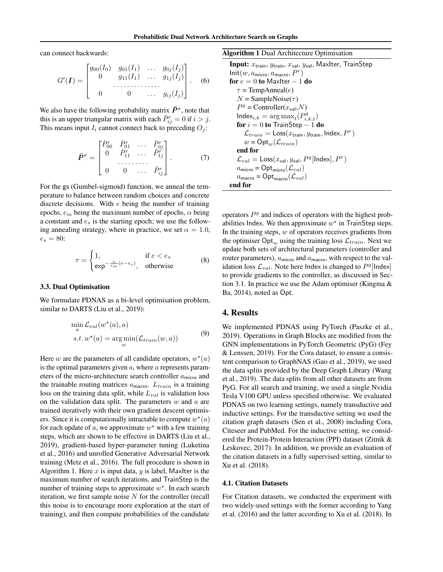can connect backwards:

$$
G'(\mathbf{I}) = \begin{bmatrix} g_{00}(I_0) & g_{01}(I_1) & \dots & g_{0j}(I_j) \\ 0 & g_{11}(I_1) & \dots & g_{1j}(I_j) \\ \vdots & \vdots & \ddots & \vdots \\ 0 & 0 & \dots & g_{ij}(I_j) \end{bmatrix} .
$$
 (6)

We also have the following probability matrix  $\bar{P}^r$ , note that this is an upper triangular matrix with each  $\bar{P}_{ij}^r = 0$  if  $i > j$ . This means input  $I_i$  cannot connect back to preceding  $O_i$ :

$$
\bar{P}^{r} = \begin{bmatrix} \bar{P}_{00}^{r} & \bar{P}_{01}^{r} & \cdots & \bar{P}_{0j}^{r} \\ 0 & \bar{P}_{11}^{r} & \cdots & \bar{P}_{1j}^{r} \\ & \cdots & \cdots & \vdots \\ 0 & 0 & \cdots & \bar{P}_{ij}^{r} \end{bmatrix} . \tag{7}
$$

For the gs (Gumbel-sigmoid) function, we anneal the temperature to balance between random choices and concrete discrete decisions. With  $e$  being the number of training epochs,  $e_m$  being the maximum number of epochs,  $\alpha$  being a constant and  $e_s$  is the starting epoch; we use the following annealing strategy, where in practice, we set  $\alpha = 1.0$ ,  $e_s = 80$ :

$$
\tau = \begin{cases} 1, & \text{if } e < e_s \\ \exp^{-\frac{\alpha}{e_m}(e - e_s)}, & \text{otherwise} \end{cases} \tag{8}
$$

#### 3.3. Dual Optimisation

We formulate PDNAS as a bi-level optimisation problem, similar to DARTS (Liu et al., 2019):

$$
\min_{a} \mathcal{L}_{val}(w^*(a), a)
$$
  
s.t.  $w^*(a) = \underset{w}{\arg \min}(\mathcal{L}_{train}(w, a))$  (9)

Here w are the parameters of all candidate operators,  $w^*(a)$ is the optimal parameters given  $a$ , where  $a$  represents parameters of the micro-architecture search controller  $a<sub>micro</sub>$  and the trainable routing matrices  $a_{\text{macro}}$ .  $L_{train}$  is a training loss on the training data split, while  $L_{val}$  is validation loss on the validation data split. The parameters  $w$  and  $a$  are trained iteratively with their own gradient descent optimisers. Since it is computationally intractable to compute  $w^*(a)$ for each update of  $a$ , we approximate  $w^*$  with a few training steps, which are shown to be effective in DARTS (Liu et al., 2019), gradient-based hyper-parameter tuning (Luketina et al., 2016) and unrolled Generative Adversarial Network training (Metz et al., 2016). The full procedure is shown in Algorithm 1. Here x is input data, y is label, MaxIter is the maximum number of search iterations, and TrainStep is the number of training steps to approximate  $w^*$ . In each search iteration, we first sample noise  $N$  for the controller (recall this noise is to encourage more exploration at the start of training), and then compute probabilities of the candidate

Algorithm 1 Dual Architecture Optimisation

Input:  $x_{\text{train}}, y_{\text{train}}, x_{\text{val}}, y_{\text{val}},$  MaxIter, TrainStep  $Init(w, a_{micro}, a_{macro}, P<sup>r</sup>)$ for  $e = 0$  to MaxIter  $-1$  do  $\tau$  = TempAnneal(*e*)  $N =$  SampleNoise( $\tau$ )  $P^g$  = Controller( $x_{\text{val}}$ , $N$ )  $Index_{i,k} = \arg \max_t(P_{i,k,t}^g)$ for  $i = 0$  to TrainStep  $-1$  do  $\mathcal{L}_{train} = \textsf{Loss}(x_{\textsf{train}}, y_{\textsf{train}}, \textsf{Index}, P^r)$  $w = \text{Opt}_w(\mathcal{L}_{train})$ end for  $\mathcal{L}_{val} = \textsf{Loss}(x_{\textsf{val}}, y_{\textsf{val}}, P^g[\textsf{Index}], P^r)$  $a_{\text{micro}} = \text{Opt}_{\text{micro}}(\mathcal{L}_{val})$  $a_{\text{macro}} = \text{Opt}_{\text{macro}}(\mathcal{L}_{val})$ end for

operators  $P<sup>g</sup>$  and indices of operators with the highest probabilities Index. We then approximate  $w^*$  in TrainStep steps. In the training steps,  $w$  of operators receives gradients from the optimiser  $\text{Opt}_{w}$  using the training loss  $\mathcal{L}_{train}$ . Next we update both sets of architectural parameters (controller and router parameters),  $a<sub>micro</sub>$  and  $a<sub>macco</sub>$ , with respect to the validation loss  $\mathcal{L}_{val}$ . Note here Index is changed to  $P^g$ [Index] to provide gradients to the controller, as discussed in Section 3.1. In practice we use the Adam optimiser (Kingma & Ba, 2014), noted as Opt.

### 4. Results

We implemented PDNAS using PyTorch (Paszke et al., 2019). Operations in Graph Blocks are modified from the GNN implementations in PyTorch Geometric (PyG) (Fey & Lenssen, 2019). For the Cora dataset, to ensure a consistent comparison to GraphNAS (Gao et al., 2019), we used the data splits provided by the Deep Graph Library (Wang et al., 2019). The data splits from all other datasets are from PyG. For all search and training, we used a single Nvidia Tesla V100 GPU unless specified otherwise. We evaluated PDNAS on two learning settings, namely transductive and inductive settings. For the transductive setting we used the citation graph datasets (Sen et al., 2008) including Cora, Citeseer and PubMed. For the inductive setting, we considered the Protein-Protein Interaction (PPI) dataset (Zitnik & Leskovec, 2017). In addition, we provide an evaluation of the citation datasets in a fully supervised setting, similar to Xu et al. (2018).

#### 4.1. Citation Datasets

For Citation datasets, we conducted the experiment with two widely-used settings with the former according to Yang et al. (2016) and the latter according to Xu et al. (2018). In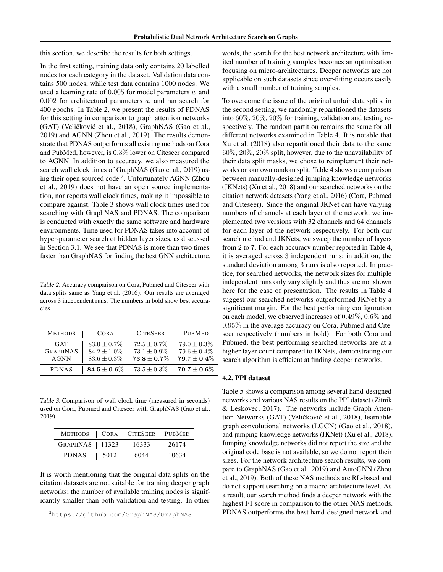this section, we describe the results for both settings.

In the first setting, training data only contains 20 labelled nodes for each category in the dataset. Validation data contains 500 nodes, while test data contains 1000 nodes. We used a learning rate of  $0.005$  for model parameters  $w$  and  $0.002$  for architectural parameters  $a$ , and ran search for 400 epochs. In Table 2, we present the results of PDNAS for this setting in comparison to graph attention networks (GAT) (Veličković et al., 2018), GraphNAS (Gao et al., 2019) and AGNN (Zhou et al., 2019). The results demonstrate that PDNAS outperforms all existing methods on Cora and PubMed, however, is 0.3% lower on Citeseer compared to AGNN. In addition to accuracy, we also measured the search wall clock times of GraphNAS (Gao et al., 2019) using their open sourced code<sup>2</sup>. Unfortunately AGNN (Zhou et al., 2019) does not have an open source implementation, nor reports wall clock times, making it impossible to compare against. Table 3 shows wall clock times used for searching with GraphNAS and PDNAS. The comparison is conducted with exactly the same software and hardware environments. Time used for PDNAS takes into account of hyper-parameter search of hidden layer sizes, as discussed in Section 3.1. We see that PDNAS is more than two times faster than GraphNAS for finding the best GNN architecture.

Table 2. Accuracy comparison on Cora, Pubmed and Citeseer with data splits same as Yang et al. (2016). Our results are averaged across 3 independent runs. The numbers in bold show best accuracies.

| <b>METHODS</b>  | <b>CORA</b>      | <b>CITESEER</b>  | <b>PUBMED</b>    |
|-----------------|------------------|------------------|------------------|
| GAT             | $83.0 + 0.7\%$   | $72.5 + 0.7\%$   | $79.0 \pm 0.3\%$ |
| <b>GRAPHNAS</b> | $84.2 \pm 1.0\%$ | $73.1 + 0.9\%$   | $79.6 \pm 0.4\%$ |
| <b>AGNN</b>     | $83.6 \pm 0.3\%$ | $73.8 \pm 0.7\%$ | $79.7 \pm 0.4\%$ |
| <b>PDNAS</b>    | $84.5\pm0.6\%$   | $73.5 \pm 0.3\%$ | $79.7\pm0.6\%$   |

Table 3. Comparison of wall clock time (measured in seconds) used on Cora, Pubmed and Citeseer with GraphNAS (Gao et al., 2019).

|                  |      | METHODS   CORA CITESEER PUBMED |       |
|------------------|------|--------------------------------|-------|
| GRAPHNAS   11323 |      | 16333                          | 26174 |
| <b>PDNAS</b>     | 5012 | 6044                           | 10634 |

It is worth mentioning that the original data splits on the citation datasets are not suitable for training deeper graph networks; the number of available training nodes is significantly smaller than both validation and testing. In other

words, the search for the best network architecture with limited number of training samples becomes an optimisation focusing on micro-architectures. Deeper networks are not applicable on such datasets since over-fitting occurs easily with a small number of training samples.

To overcome the issue of the original unfair data splits, in the second setting, we randomly repartitioned the datasets into 60%, 20%, 20% for training, validation and testing respectively. The random partition remains the same for all different networks examined in Table 4. It is notable that Xu et al. (2018) also repartitioned their data to the same 60%, 20%, 20% split, however, due to the unavailability of their data split masks, we chose to reimplement their networks on our own random split. Table 4 shows a comparison between manually-designed jumping knowledge networks (JKNets) (Xu et al., 2018) and our searched networks on the citation network datasets (Yang et al., 2016) (Cora, Pubmed and Citeseer). Since the original JKNet can have varying numbers of channels at each layer of the network, we implemented two versions with 32 channels and 64 channels for each layer of the network respectively. For both our search method and JKNets, we sweep the number of layers from 2 to 7. For each accuracy number reported in Table 4, it is averaged across 3 independent runs; in addition, the standard deviation among 3 runs is also reported. In practice, for searched networks, the network sizes for multiple independent runs only vary slightly and thus are not shown here for the ease of presentation. The results in Table 4 suggest our searched networks outperformed JKNet by a significant margin. For the best performing configuration on each model, we observed increases of 0.49%, 0.6% and 0.95% in the average accuracy on Cora, Pubmed and Citeseer respectively (numbers in bold). For both Cora and Pubmed, the best performing searched networks are at a higher layer count compared to JKNets, demonstrating our search algorithm is efficient at finding deeper networks.

# 4.2. PPI dataset

Table 5 shows a comparison among several hand-designed networks and various NAS results on the PPI dataset (Zitnik & Leskovec, 2017). The networks include Graph Attention Networks (GAT) (Veličković et al., 2018), learnable graph convolutional networks (LGCN) (Gao et al., 2018), and jumping knowledge networks (JKNet) (Xu et al., 2018). Jumping knowledge networks did not report the size and the original code base is not available, so we do not report their sizes. For the network architecture search results, we compare to GraphNAS (Gao et al., 2019) and AutoGNN (Zhou et al., 2019). Both of these NAS methods are RL-based and do not support searching on a macro-architecture level. As a result, our search method finds a deeper network with the highest F1 score in comparison to the other NAS methods. PDNAS outperforms the best hand-designed network and

<sup>2</sup>https://github.com/GraphNAS/GraphNAS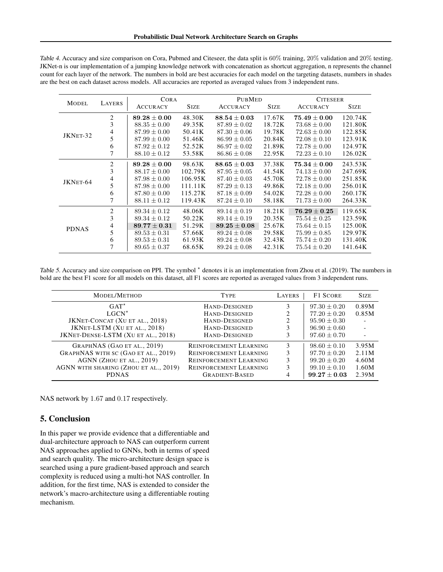| <b>MODEL</b> | LAYERS         | <b>CORA</b>      |             | <b>PUBMED</b>    |             | <b>CITESEER</b>                    |             |
|--------------|----------------|------------------|-------------|------------------|-------------|------------------------------------|-------------|
|              |                | <b>ACCURACY</b>  | <b>SIZE</b> | <b>ACCURACY</b>  | <b>SIZE</b> | <b>ACCURACY</b>                    | <b>SIZE</b> |
| JKNET-32     | $\overline{2}$ | $89.28\pm0.00$   | 48.30K      | $88.54\pm0.03$   | 17.67K      | $\textbf{75.49} \pm \textbf{0.00}$ | 120.74K     |
|              | 3              | $88.35 \pm 0.00$ | 49.35K      | $87.89 \pm 0.02$ | 18.72K      | $73.68 \pm 0.00$                   | 121.80K     |
|              | 4              | $87.99 \pm 0.00$ | 50.41K      | $87.30 \pm 0.06$ | 19.78K      | $72.63 \pm 0.00$                   | 122.85K     |
|              | 5              | $87.99 \pm 0.00$ | 51.46K      | $86.99 \pm 0.05$ | 20.84K      | $72.08 \pm 0.10$                   | 123.91K     |
|              | 6              | $87.92 \pm 0.12$ | 52.52K      | $86.97 \pm 0.02$ | 21.89K      | $72.78 \pm 0.00$                   | 124.97K     |
|              |                | $88.10 \pm 0.12$ | 53.58K      | $86.86 \pm 0.08$ | 22.95K      | $72.23 \pm 0.10$                   | 126.02K     |
|              | 2              | $89.28\pm0.00$   | 98.63K      | $88.65\pm0.03$   | 37.38K      | $\textbf{75.34} \pm \textbf{0.00}$ | 243.53K     |
|              | 3              | $88.17 \pm 0.00$ | 102.79K     | $87.95 \pm 0.05$ | 41.54K      | $74.13 \pm 0.00$                   | 247.69K     |
| JKNET-64     | 4              | $87.98 \pm 0.00$ | 106.95K     | $87.40 \pm 0.03$ | 45.70K      | $72.78 \pm 0.00$                   | 251.85K     |
|              | 5              | $87.98 \pm 0.00$ | 111.11K     | $87.29 \pm 0.13$ | 49.86K      | $72.18 \pm 0.00$                   | 256.01K     |
|              | 6              | $87.80 \pm 0.00$ | 115.27K     | $87.18 \pm 0.09$ | 54.02K      | $72.28 \pm 0.00$                   | 260.17K     |
|              |                | $88.11 \pm 0.12$ | 119.43K     | $87.24 \pm 0.10$ | 58.18K      | $71.73 \pm 0.00$                   | 264.33K     |
| <b>PDNAS</b> | $\overline{c}$ | $89.34 \pm 0.12$ | 48.06K      | $89.14 \pm 0.19$ | 18.21K      | $\textbf{76.29} \pm \textbf{0.25}$ | 119.65K     |
|              | 3              | $89.34 \pm 0.12$ | 50.22K      | $89.14 \pm 0.19$ | 20.35K      | $75.54 \pm 0.25$                   | 123.59K     |
|              | 4              | $89.77 \pm 0.31$ | 51.29K      | $89.25 \pm 0.08$ | 25.67K      | $75.64 \pm 0.15$                   | 125.00K     |
|              | 5              | $89.53 \pm 0.31$ | 57.66K      | $89.24 \pm 0.08$ | 29.58K      | $75.99 \pm 0.85$                   | 129.97K     |
|              | 6              | $89.53 \pm 0.31$ | 61.93K      | $89.24 \pm 0.08$ | 32.43K      | $75.74 \pm 0.20$                   | 131.40K     |
|              |                | $89.65 \pm 0.37$ | 68.65K      | $89.24 \pm 0.08$ | 42.31K      | $75.54 \pm 0.20$                   | 141.64K     |

Table 4. Accuracy and size comparison on Cora, Pubmed and Citeseer, the data split is 60% training, 20% validation and 20% testing. JKNet-n is our implementation of a jumping knowledge network with concatenation as shortcut aggregation, n represents the channel count for each layer of the network. The numbers in bold are best accuracies for each model on the targeting datasets, numbers in shades are the best on each dataset across models. All accuracies are reported as averaged values from 3 independent runs.

Table 5. Accuracy and size comparison on PPI. The symbol  $*$  denotes it is an implementation from Zhou et al. (2019). The numbers in bold are the best F1 score for all models on this dataset, all F1 scores are reported as averaged values from 3 independent runs.

| MODEL/METHOD                          | <b>TYPE</b>                   | <b>LAYERS</b> | <b>F1 SCORE</b>  | <b>SIZE</b> |
|---------------------------------------|-------------------------------|---------------|------------------|-------------|
| $GAT^{\star}$                         | HAND-DESIGNED                 | 3             | $97.30 \pm 0.20$ | 0.89M       |
| $LGCN^*$                              | HAND-DESIGNED                 | 2             | $77.20 \pm 0.20$ | 0.85M       |
| JKNET-CONCAT (XU ET AL., 2018)        | HAND-DESIGNED                 |               | $95.90 \pm 0.30$ |             |
| JKNET-LSTM (XU ET AL., 2018)          | HAND-DESIGNED                 | 3             | $96.90 \pm 0.60$ |             |
| JKNET-DENSE-LSTM (XU ET AL., 2018)    | HAND-DESIGNED                 | 3             | $97.60 \pm 0.70$ |             |
| GRAPHNAS (GAO ET AL., 2019)           | <b>REINFORCEMENT LEARNING</b> | 3             | $98.60 + 0.10$   | 3.95M       |
| GRAPHNAS WITH SC (GAO ET AL., 2019)   | <b>REINFORCEMENT LEARNING</b> | 3             | $97.70 \pm 0.20$ | 2.11M       |
| AGNN (ZHOU ET AL., 2019)              | REINFORCEMENT LEARNING        | 3             | $99.20 + 0.20$   | 4.60M       |
| AGNN WITH SHARING (ZHOU ET AL., 2019) | <b>REINFORCEMENT LEARNING</b> | 3             | $99.10 \pm 0.10$ | 1.60M       |
| <b>PDNAS</b>                          | <b>GRADIENT-BASED</b>         |               | $99.27 \pm 0.03$ | 2.39M       |

NAS network by 1.67 and 0.17 respectively.

# 5. Conclusion

In this paper we provide evidence that a differentiable and dual-architecture approach to NAS can outperform current NAS approaches applied to GNNs, both in terms of speed and search quality. The micro-architecture design space is searched using a pure gradient-based approach and search complexity is reduced using a multi-hot NAS controller. In addition, for the first time, NAS is extended to consider the network's macro-architecture using a differentiable routing mechanism.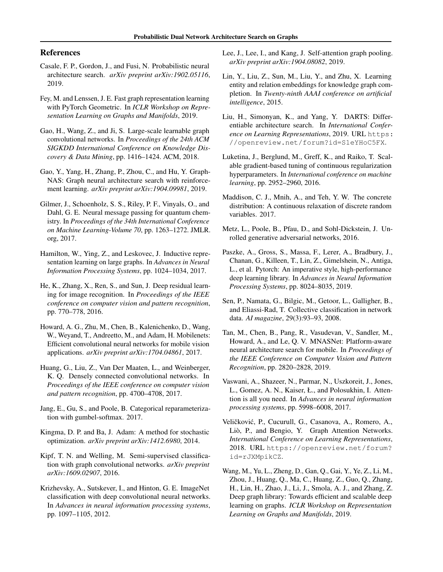## References

- Casale, F. P., Gordon, J., and Fusi, N. Probabilistic neural architecture search. *arXiv preprint arXiv:1902.05116*, 2019.
- Fey, M. and Lenssen, J. E. Fast graph representation learning with PyTorch Geometric. In *ICLR Workshop on Representation Learning on Graphs and Manifolds*, 2019.
- Gao, H., Wang, Z., and Ji, S. Large-scale learnable graph convolutional networks. In *Proceedings of the 24th ACM SIGKDD International Conference on Knowledge Discovery & Data Mining*, pp. 1416–1424. ACM, 2018.
- Gao, Y., Yang, H., Zhang, P., Zhou, C., and Hu, Y. Graph-NAS: Graph neural architecture search with reinforcement learning. *arXiv preprint arXiv:1904.09981*, 2019.
- Gilmer, J., Schoenholz, S. S., Riley, P. F., Vinyals, O., and Dahl, G. E. Neural message passing for quantum chemistry. In *Proceedings of the 34th International Conference on Machine Learning-Volume 70*, pp. 1263–1272. JMLR. org, 2017.
- Hamilton, W., Ying, Z., and Leskovec, J. Inductive representation learning on large graphs. In *Advances in Neural Information Processing Systems*, pp. 1024–1034, 2017.
- He, K., Zhang, X., Ren, S., and Sun, J. Deep residual learning for image recognition. In *Proceedings of the IEEE conference on computer vision and pattern recognition*, pp. 770–778, 2016.
- Howard, A. G., Zhu, M., Chen, B., Kalenichenko, D., Wang, W., Weyand, T., Andreetto, M., and Adam, H. Mobilenets: Efficient convolutional neural networks for mobile vision applications. *arXiv preprint arXiv:1704.04861*, 2017.
- Huang, G., Liu, Z., Van Der Maaten, L., and Weinberger, K. Q. Densely connected convolutional networks. In *Proceedings of the IEEE conference on computer vision and pattern recognition*, pp. 4700–4708, 2017.
- Jang, E., Gu, S., and Poole, B. Categorical reparameterization with gumbel-softmax. 2017.
- Kingma, D. P. and Ba, J. Adam: A method for stochastic optimization. *arXiv preprint arXiv:1412.6980*, 2014.
- Kipf, T. N. and Welling, M. Semi-supervised classification with graph convolutional networks. *arXiv preprint arXiv:1609.02907*, 2016.
- Krizhevsky, A., Sutskever, I., and Hinton, G. E. ImageNet classification with deep convolutional neural networks. In *Advances in neural information processing systems*, pp. 1097–1105, 2012.
- Lee, J., Lee, I., and Kang, J. Self-attention graph pooling. *arXiv preprint arXiv:1904.08082*, 2019.
- Lin, Y., Liu, Z., Sun, M., Liu, Y., and Zhu, X. Learning entity and relation embeddings for knowledge graph completion. In *Twenty-ninth AAAI conference on artificial intelligence*, 2015.
- Liu, H., Simonyan, K., and Yang, Y. DARTS: Differentiable architecture search. In *International Conference on Learning Representations*, 2019. URL https: //openreview.net/forum?id=S1eYHoC5FX.
- Luketina, J., Berglund, M., Greff, K., and Raiko, T. Scalable gradient-based tuning of continuous regularization hyperparameters. In *International conference on machine learning*, pp. 2952–2960, 2016.
- Maddison, C. J., Mnih, A., and Teh, Y. W. The concrete distribution: A continuous relaxation of discrete random variables. 2017.
- Metz, L., Poole, B., Pfau, D., and Sohl-Dickstein, J. Unrolled generative adversarial networks, 2016.
- Paszke, A., Gross, S., Massa, F., Lerer, A., Bradbury, J., Chanan, G., Killeen, T., Lin, Z., Gimelshein, N., Antiga, L., et al. Pytorch: An imperative style, high-performance deep learning library. In *Advances in Neural Information Processing Systems*, pp. 8024–8035, 2019.
- Sen, P., Namata, G., Bilgic, M., Getoor, L., Galligher, B., and Eliassi-Rad, T. Collective classification in network data. *AI magazine*, 29(3):93–93, 2008.
- Tan, M., Chen, B., Pang, R., Vasudevan, V., Sandler, M., Howard, A., and Le, Q. V. MNASNet: Platform-aware neural architecture search for mobile. In *Proceedings of the IEEE Conference on Computer Vision and Pattern Recognition*, pp. 2820–2828, 2019.
- Vaswani, A., Shazeer, N., Parmar, N., Uszkoreit, J., Jones, L., Gomez, A. N., Kaiser, Ł., and Polosukhin, I. Attention is all you need. In *Advances in neural information processing systems*, pp. 5998–6008, 2017.
- Veličković, P., Cucurull, G., Casanova, A., Romero, A., Liò, P., and Bengio, Y. Graph Attention Networks. *International Conference on Learning Representations*, 2018. URL https://openreview.net/forum? id=rJXMpikCZ.
- Wang, M., Yu, L., Zheng, D., Gan, Q., Gai, Y., Ye, Z., Li, M., Zhou, J., Huang, Q., Ma, C., Huang, Z., Guo, Q., Zhang, H., Lin, H., Zhao, J., Li, J., Smola, A. J., and Zhang, Z. Deep graph library: Towards efficient and scalable deep learning on graphs. *ICLR Workshop on Representation Learning on Graphs and Manifolds*, 2019.